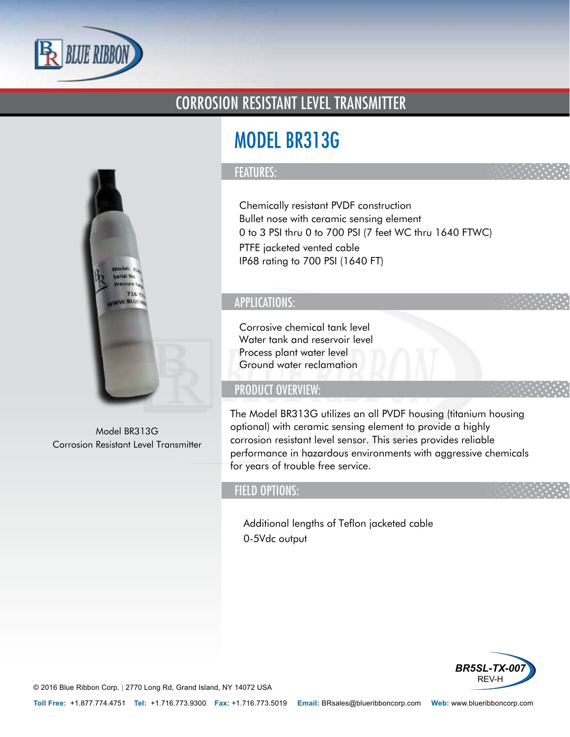

## CORROSION RESISTANT LEVEL TRANSMITTER



Model BR313G Corrosion Resistant Level Transmitter

# MODEL BR313G

#### FEATURES:

- Chemically resistant PVDF construction
- Bullet nose with ceramic sensing element
- 0 to 3 PSI thru 0 to 700 PSI (7 feet WC thru 1640 FTWC)
- PTFE jacketed vented cable
- IP68 rating to 700 PSI (1640 FT)

## APPLICATIONS:

- Corrosive chemical tank level
- Water tank and reservoir level
- Process plant water level
- Ground water reclamation

## PRODUCT OVERVIEW:

The Model BR313G utilizes an all PVDF housing (titanium housing optional) with ceramic sensing element to provide a highly corrosion resistant level sensor. This series provides reliable performance in hazardous environments with aggressive chemicals for years of trouble free service.

### FIELD OPTIONS:

- Additional lengths of Teflon jacketed cable
- 0-5Vdc output



© 2016 Blue Ribbon Corp. *<sup>|</sup>* 2770 Long Rd, Grand Island, NY 14072 USA